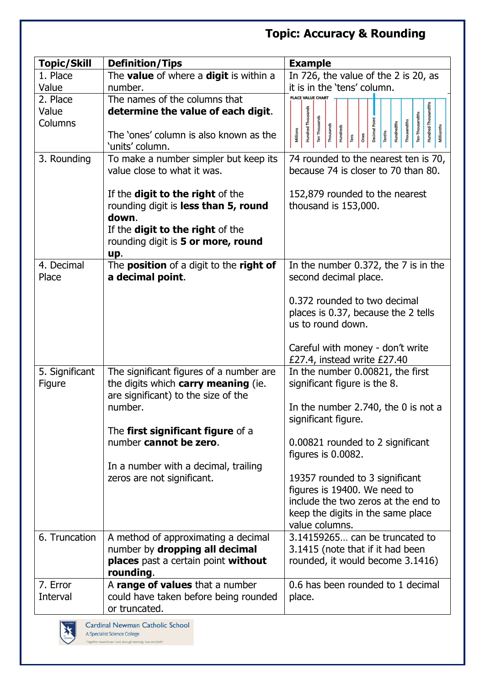## **Topic: Accuracy & Rounding**

| <b>Topic/Skill</b> | <b>Definition/Tips</b>                                    | <b>Example</b>                                                                                                                                                                  |
|--------------------|-----------------------------------------------------------|---------------------------------------------------------------------------------------------------------------------------------------------------------------------------------|
| 1. Place           | The value of where a digit is within a                    | In 726, the value of the 2 is 20, as                                                                                                                                            |
| Value              | number.                                                   | it is in the 'tens' column.                                                                                                                                                     |
| 2. Place           | The names of the columns that                             | PLACE VALUE CHART                                                                                                                                                               |
| Value              | determine the value of each digit.                        |                                                                                                                                                                                 |
| Columns            |                                                           | Hundred-Thousandths<br><b>Hundred Thousands</b><br>Ten-Thousandths<br>Ten Thousands<br><b>Decimal Point</b><br>Thousandths<br>Hundredths<br>Thousands<br>Hundreds<br>Millionths |
|                    | The 'ones' column is also known as the<br>'units' column. | Millions<br><b>Tenths</b><br>$\frac{1}{2}$<br>lens                                                                                                                              |
| 3. Rounding        | To make a number simpler but keep its                     | 74 rounded to the nearest ten is 70,                                                                                                                                            |
|                    | value close to what it was.                               | because 74 is closer to 70 than 80.                                                                                                                                             |
|                    |                                                           |                                                                                                                                                                                 |
|                    | If the <b>digit to the right</b> of the                   | 152,879 rounded to the nearest                                                                                                                                                  |
|                    | rounding digit is less than 5, round                      | thousand is 153,000.                                                                                                                                                            |
|                    | down.                                                     |                                                                                                                                                                                 |
|                    | If the <b>digit to the right</b> of the                   |                                                                                                                                                                                 |
|                    | rounding digit is 5 or more, round                        |                                                                                                                                                                                 |
| 4. Decimal         | up.<br>The <b>position</b> of a digit to the right of     | In the number 0.372, the 7 is in the                                                                                                                                            |
| Place              | a decimal point.                                          | second decimal place.                                                                                                                                                           |
|                    |                                                           |                                                                                                                                                                                 |
|                    |                                                           | 0.372 rounded to two decimal                                                                                                                                                    |
|                    |                                                           | places is 0.37, because the 2 tells                                                                                                                                             |
|                    |                                                           | us to round down.                                                                                                                                                               |
|                    |                                                           |                                                                                                                                                                                 |
|                    |                                                           | Careful with money - don't write<br>£27.4, instead write £27.40                                                                                                                 |
| 5. Significant     | The significant figures of a number are                   | In the number 0.00821, the first                                                                                                                                                |
| Figure             | the digits which carry meaning (ie.                       | significant figure is the 8.                                                                                                                                                    |
|                    | are significant) to the size of the                       |                                                                                                                                                                                 |
|                    | number.                                                   | In the number 2.740, the 0 is not a                                                                                                                                             |
|                    |                                                           | significant figure.                                                                                                                                                             |
|                    | The first significant figure of a                         |                                                                                                                                                                                 |
|                    | number cannot be zero.                                    | 0.00821 rounded to 2 significant<br>figures is 0.0082.                                                                                                                          |
|                    | In a number with a decimal, trailing                      |                                                                                                                                                                                 |
|                    | zeros are not significant.                                | 19357 rounded to 3 significant                                                                                                                                                  |
|                    |                                                           | figures is 19400. We need to                                                                                                                                                    |
|                    |                                                           | include the two zeros at the end to                                                                                                                                             |
|                    |                                                           | keep the digits in the same place                                                                                                                                               |
|                    |                                                           | value columns.                                                                                                                                                                  |
| 6. Truncation      | A method of approximating a decimal                       | 3.14159265 can be truncated to                                                                                                                                                  |
|                    | number by dropping all decimal                            | 3.1415 (note that if it had been                                                                                                                                                |
|                    | places past a certain point without<br>rounding.          | rounded, it would become 3.1416)                                                                                                                                                |
| 7. Error           | A range of values that a number                           | 0.6 has been rounded to 1 decimal                                                                                                                                               |
| Interval           | could have taken before being rounded                     | place.                                                                                                                                                                          |
|                    | or truncated.                                             |                                                                                                                                                                                 |

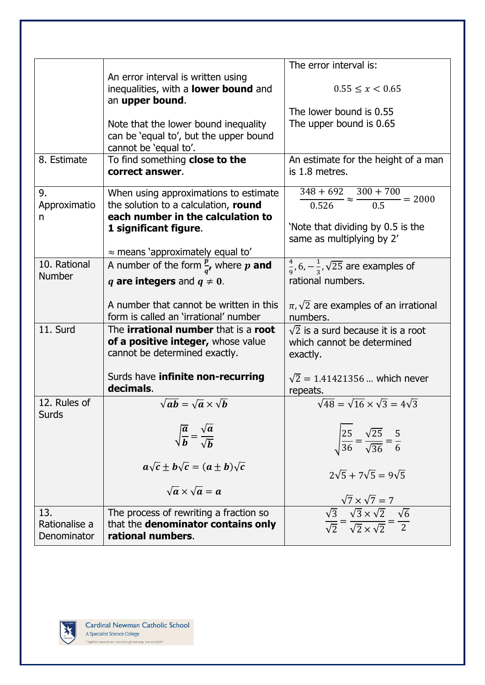|               |                                                    | The error interval is:                                                                                                                                       |
|---------------|----------------------------------------------------|--------------------------------------------------------------------------------------------------------------------------------------------------------------|
|               | An error interval is written using                 |                                                                                                                                                              |
|               | inequalities, with a <b>lower bound</b> and        | $0.55 \leq x \leq 0.65$                                                                                                                                      |
|               | an upper bound.                                    |                                                                                                                                                              |
|               |                                                    | The lower bound is 0.55                                                                                                                                      |
|               | Note that the lower bound inequality               | The upper bound is 0.65                                                                                                                                      |
|               | can be 'equal to', but the upper bound             |                                                                                                                                                              |
|               | cannot be 'equal to'.                              |                                                                                                                                                              |
| 8. Estimate   | To find something close to the                     | An estimate for the height of a man                                                                                                                          |
|               | correct answer.                                    | is 1.8 metres.                                                                                                                                               |
|               |                                                    |                                                                                                                                                              |
| 9.            | When using approximations to estimate              | $\frac{348 + 692}{0.526} \approx \frac{300 + 700}{0.5} = 2000$                                                                                               |
| Approximatio  | the solution to a calculation, round               |                                                                                                                                                              |
| n             | each number in the calculation to                  |                                                                                                                                                              |
|               | 1 significant figure.                              | 'Note that dividing by 0.5 is the                                                                                                                            |
|               |                                                    | same as multiplying by 2'                                                                                                                                    |
|               | $\approx$ means 'approximately equal to'           |                                                                                                                                                              |
| 10. Rational  | A number of the form $\frac{p}{q}$ , where p and   | $\frac{4}{9}$ , 6, $-\frac{1}{3}$ , $\sqrt{25}$ are examples of                                                                                              |
| <b>Number</b> | q are integers and $q \neq 0$ .                    | rational numbers.                                                                                                                                            |
|               |                                                    |                                                                                                                                                              |
|               | A number that cannot be written in this            | $\pi, \sqrt{2}$ are examples of an irrational                                                                                                                |
|               | form is called an 'irrational' number              | numbers.                                                                                                                                                     |
| 11. Surd      | The <b>irrational number</b> that is a <b>root</b> | $\sqrt{2}$ is a surd because it is a root                                                                                                                    |
|               | of a positive integer, whose value                 | which cannot be determined                                                                                                                                   |
|               | cannot be determined exactly.                      | exactly.                                                                                                                                                     |
|               |                                                    |                                                                                                                                                              |
|               | Surds have infinite non-recurring                  | $\sqrt{2}$ = 1.41421356  which never                                                                                                                         |
|               | decimals.                                          | repeats.                                                                                                                                                     |
| 12. Rules of  | $\sqrt{ab} = \sqrt{a} \times \sqrt{b}$             | $\sqrt{48} = \sqrt{16} \times \sqrt{3} = 4\sqrt{3}$                                                                                                          |
| <b>Surds</b>  |                                                    |                                                                                                                                                              |
|               |                                                    |                                                                                                                                                              |
|               | $\sqrt{\frac{a}{b}} = \frac{\sqrt{a}}{\sqrt{b}}$   |                                                                                                                                                              |
|               |                                                    | $\sqrt{\frac{25}{36}} = \frac{\sqrt{25}}{\sqrt{36}} = \frac{5}{6}$                                                                                           |
|               |                                                    |                                                                                                                                                              |
|               | $a\sqrt{c} \pm b\sqrt{c} = (a \pm b)\sqrt{c}$      | $2\sqrt{5} + 7\sqrt{5} = 9\sqrt{5}$                                                                                                                          |
|               |                                                    |                                                                                                                                                              |
|               | $\sqrt{a} \times \sqrt{a} = a$                     |                                                                                                                                                              |
|               |                                                    | $\frac{\sqrt{7} \times \sqrt{7} = 7}{\sqrt{3}}$ $\frac{\sqrt{3}}{\sqrt{2}} = \frac{\sqrt{3} \times \sqrt{2}}{\sqrt{2} \times \sqrt{2}} = \frac{\sqrt{6}}{2}$ |
| 13.           | The process of rewriting a fraction so             |                                                                                                                                                              |
| Rationalise a | that the denominator contains only                 |                                                                                                                                                              |
| Denominator   | rational numbers.                                  |                                                                                                                                                              |